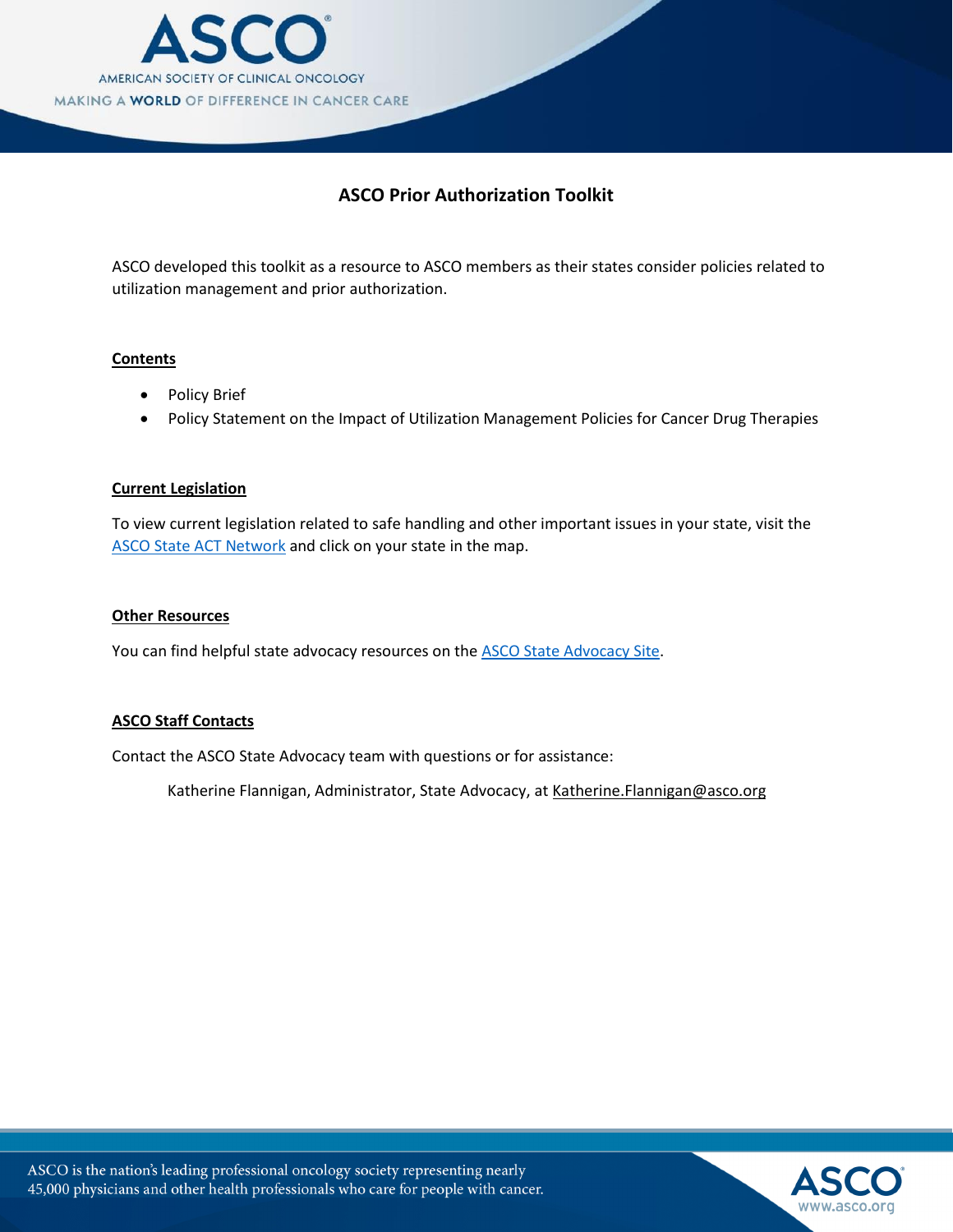

## **ASCO Prior Authorization Toolkit**

ASCO developed this toolkit as a resource to ASCO members as their states consider policies related to utilization management and prior authorization.

#### **Contents**

- Policy Brief
- Policy Statement on the Impact of Utilization Management Policies for Cancer Drug Therapies

#### **Current Legislation**

To view current legislation related to safe handling and other important issues in your state, visit the ASCO State [ACT Network](http://cqrcengage.com/asco/state) and click on your state in the map.

#### **Other Resources**

You can find helpful state advocacy resources on th[e ASCO State Advocacy Site.](http://www.asco.org/advocacy-policy/advocacy-center/state-advocacy)

#### **ASCO Staff Contacts**

Contact the ASCO State Advocacy team with questions or for assistance:

Katherine Flannigan, Administrator, State [Advocacy, at Katherine.Flanni](mailto:Jennifer.Brunelle@asco.org)gan@asco.org



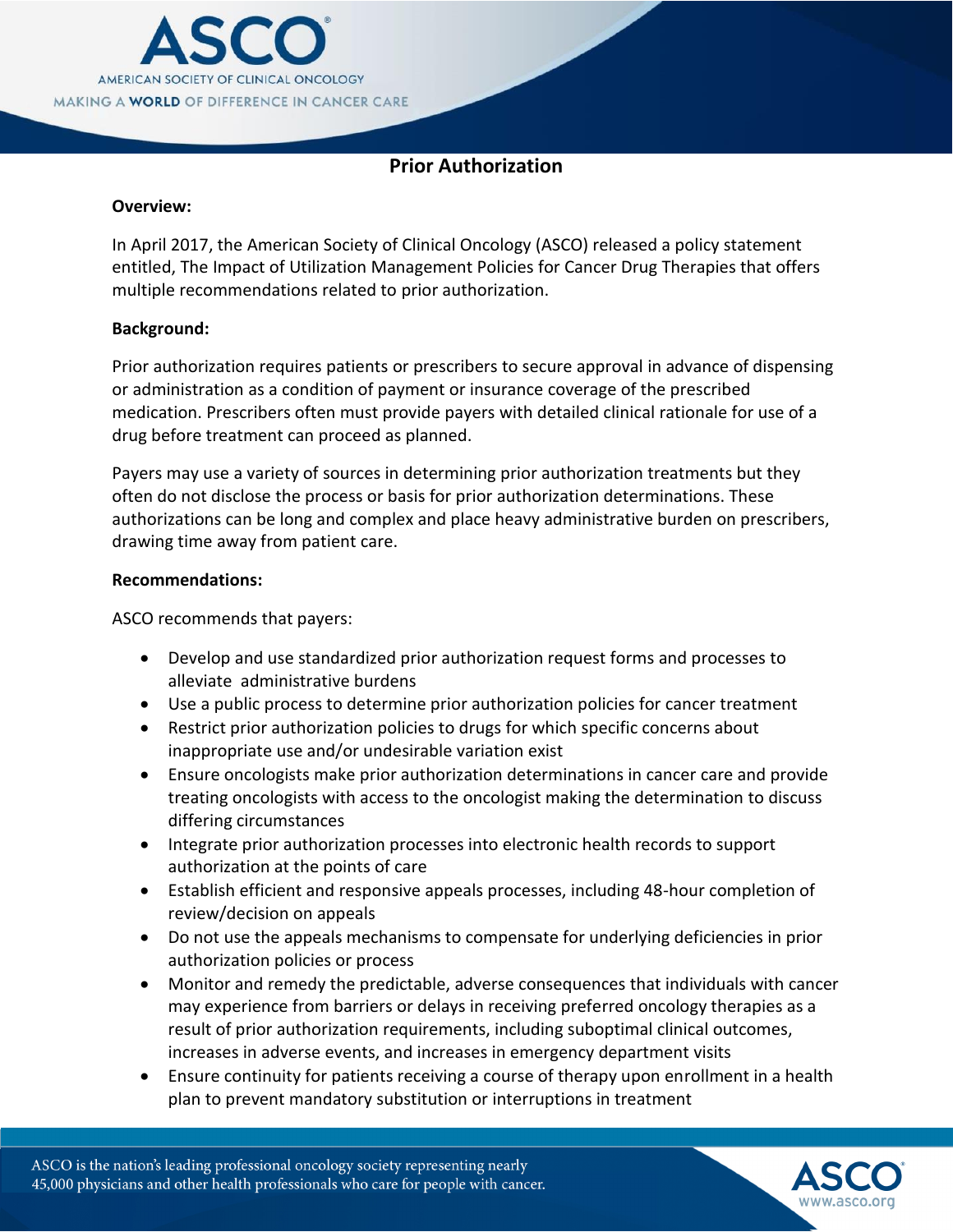

# **Prior Authorization**

## **Overview:**

In April 2017, the American Society of Clinical Oncology (ASCO) released a policy statement entitled, The Impact of Utilization Management Policies for Cancer Drug Therapies that offers multiple recommendations related to prior authorization.

## **Background:**

Prior authorization requires patients or prescribers to secure approval in advance of dispensing or administration as a condition of payment or insurance coverage of the prescribed medication. Prescribers often must provide payers with detailed clinical rationale for use of a drug before treatment can proceed as planned.

Payers may use a variety of sources in determining prior authorization treatments but they often do not disclose the process or basis for prior authorization determinations. These authorizations can be long and complex and place heavy administrative burden on prescribers, drawing time away from patient care.

## **Recommendations:**

ASCO recommends that payers:

- Develop and use standardized prior authorization request forms and processes to alleviate administrative burdens
- Use a public process to determine prior authorization policies for cancer treatment
- Restrict prior authorization policies to drugs for which specific concerns about inappropriate use and/or undesirable variation exist
- Ensure oncologists make prior authorization determinations in cancer care and provide treating oncologists with access to the oncologist making the determination to discuss differing circumstances
- Integrate prior authorization processes into electronic health records to support authorization at the points of care
- Establish efficient and responsive appeals processes, including 48-hour completion of review/decision on appeals
- Do not use the appeals mechanisms to compensate for underlying deficiencies in prior authorization policies or process
- Monitor and remedy the predictable, adverse consequences that individuals with cancer may experience from barriers or delays in receiving preferred oncology therapies as a result of prior authorization requirements, including suboptimal clinical outcomes, increases in adverse events, and increases in emergency department visits
- Ensure continuity for patients receiving a course of therapy upon enrollment in a health plan to prevent mandatory substitution or interruptions in treatment

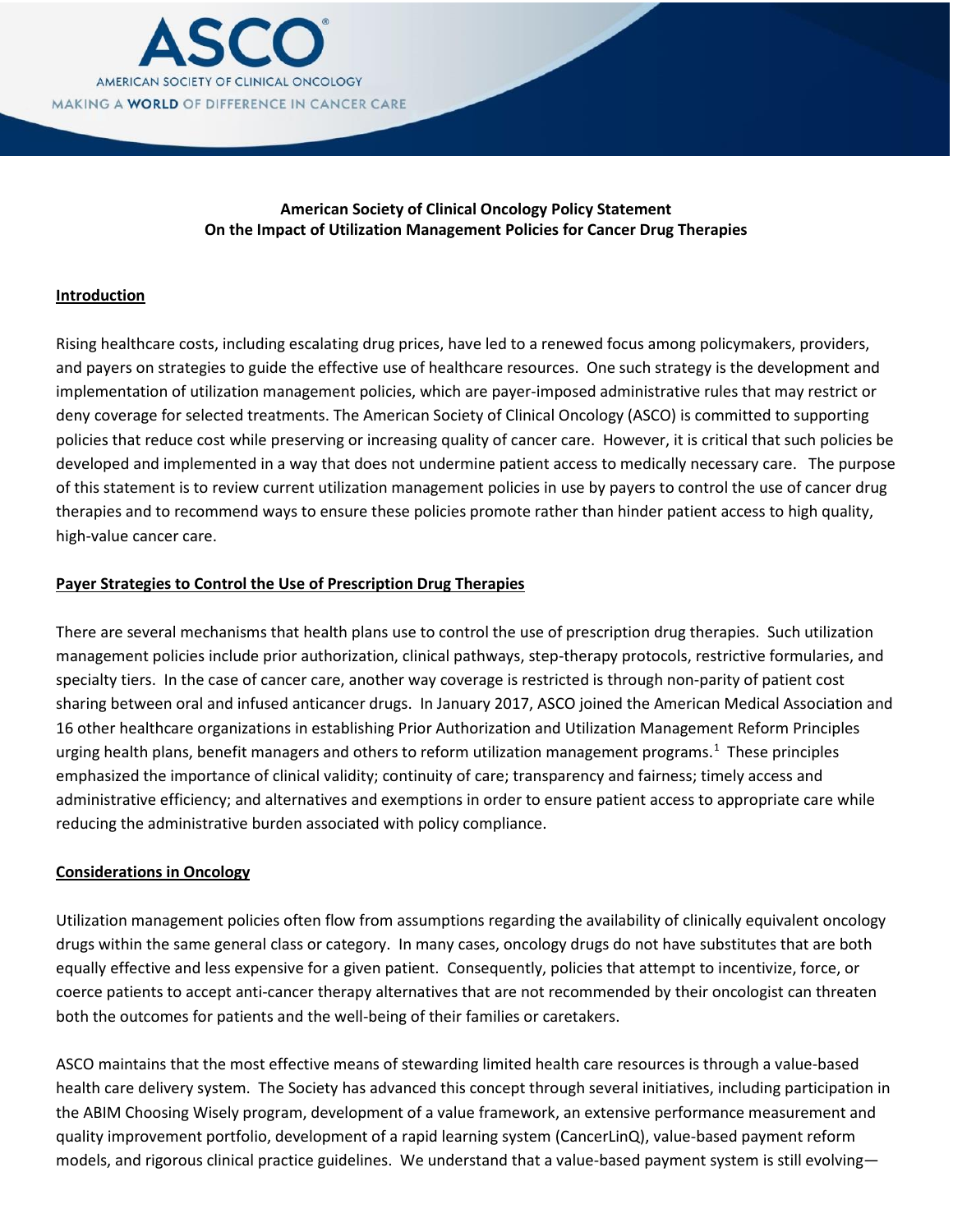

## **American Society of Clinical Oncology Policy Statement On the Impact of Utilization Management Policies for Cancer Drug Therapies**

#### **Introduction**

Rising healthcare costs, including escalating drug prices, have led to a renewed focus among policymakers, providers, and payers on strategies to guide the effective use of healthcare resources. One such strategy is the development and implementation of utilization management policies, which are payer-imposed administrative rules that may restrict or deny coverage for selected treatments. The American Society of Clinical Oncology (ASCO) is committed to supporting policies that reduce cost while preserving or increasing quality of cancer care. However, it is critical that such policies be developed and implemented in a way that does not undermine patient access to medically necessary care. The purpose of this statement is to review current utilization management policies in use by payers to control the use of cancer drug therapies and to recommend ways to ensure these policies promote rather than hinder patient access to high quality, high-value cancer care.

#### **Payer Strategies to Control the Use of Prescription Drug Therapies**

There are several mechanisms that health plans use to control the use of prescription drug therapies. Such utilization management policies include prior authorization, clinical pathways, step-therapy protocols, restrictive formularies, and specialty tiers. In the case of cancer care, another way coverage is restricted is through non-parity of patient cost sharing between oral and infused anticancer drugs. In January 2017, ASCO joined the American Medical Association and 16 other healthcare organizations in establishing Prior Authorization and Utilization Management Reform Principles urging health plans, benefit managers and others to reform utilization management programs.<sup>[1](#page-7-0)</sup> These principles emphasized the importance of clinical validity; continuity of care; transparency and fairness; timely access and administrative efficiency; and alternatives and exemptions in order to ensure patient access to appropriate care while reducing the administrative burden associated with policy compliance.

#### **Considerations in Oncology**

Utilization management policies often flow from assumptions regarding the availability of clinically equivalent oncology drugs within the same general class or category. In many cases, oncology drugs do not have substitutes that are both equally effective and less expensive for a given patient. Consequently, policies that attempt to incentivize, force, or coerce patients to accept anti-cancer therapy alternatives that are not recommended by their oncologist can threaten both the outcomes for patients and the well-being of their families or caretakers.

ASCO maintains that the most effective means of stewarding limited health care resources is through a value-based health care delivery system. The Society has advanced this concept through several initiatives, including participation in the ABIM Choosing Wisely program, development of a value framework, an extensive performance measurement and quality improvement portfolio, development of a rapid learning system (CancerLinQ), value-based payment reform models, and rigorous clinical practice guidelines. We understand that a value-based payment system is still evolving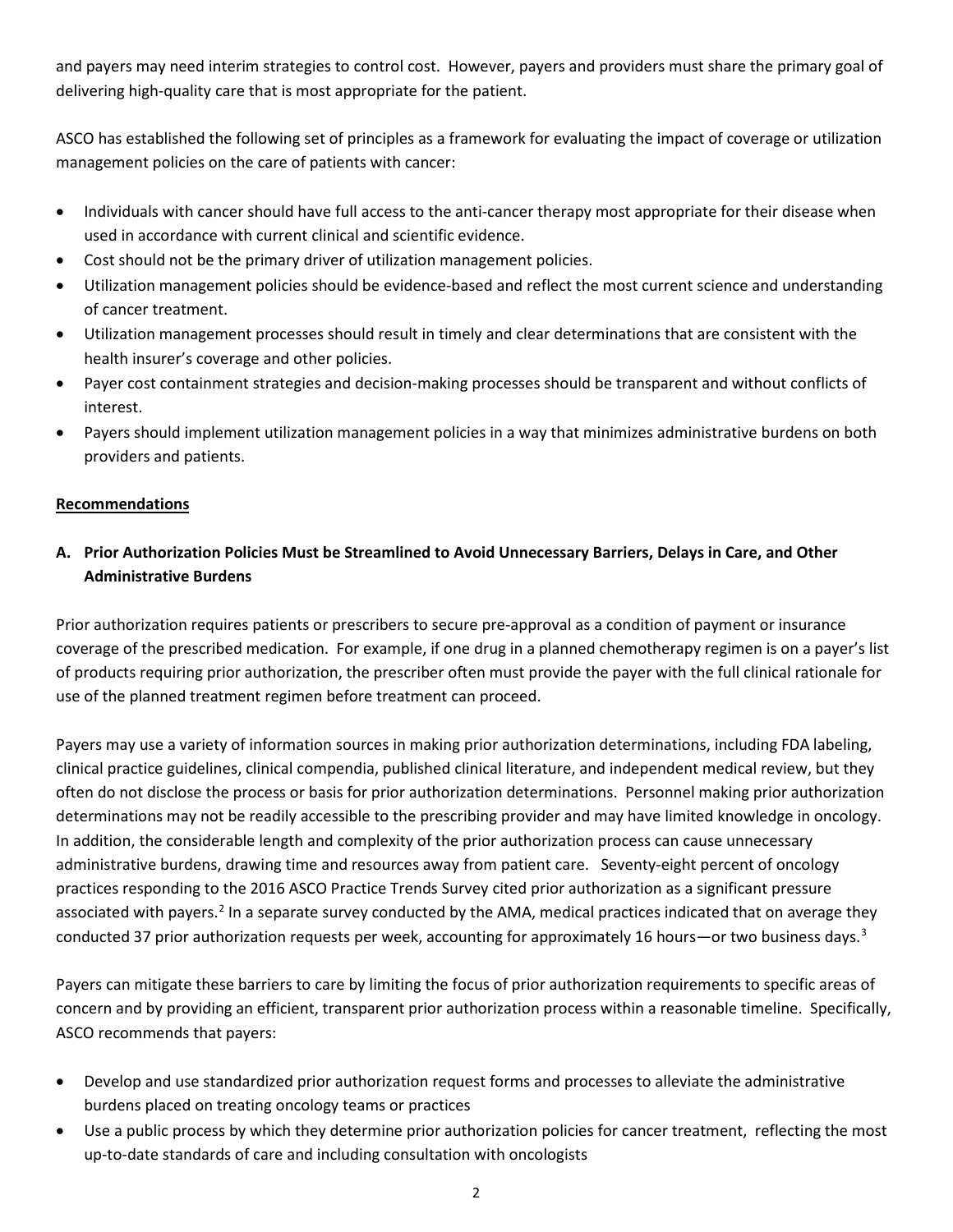and payers may need interim strategies to control cost. However, payers and providers must share the primary goal of delivering high-quality care that is most appropriate for the patient.

ASCO has established the following set of principles as a framework for evaluating the impact of coverage or utilization management policies on the care of patients with cancer:

- Individuals with cancer should have full access to the anti-cancer therapy most appropriate for their disease when used in accordance with current clinical and scientific evidence.
- Cost should not be the primary driver of utilization management policies.
- Utilization management policies should be evidence-based and reflect the most current science and understanding of cancer treatment.
- Utilization management processes should result in timely and clear determinations that are consistent with the health insurer's coverage and other policies.
- Payer cost containment strategies and decision-making processes should be transparent and without conflicts of interest.
- Payers should implement utilization management policies in a way that minimizes administrative burdens on both providers and patients.

## **Recommendations**

## **A. Prior Authorization Policies Must be Streamlined to Avoid Unnecessary Barriers, Delays in Care, and Other Administrative Burdens**

Prior authorization requires patients or prescribers to secure pre-approval as a condition of payment or insurance coverage of the prescribed medication. For example, if one drug in a planned chemotherapy regimen is on a payer's list of products requiring prior authorization, the prescriber often must provide the payer with the full clinical rationale for use of the planned treatment regimen before treatment can proceed.

Payers may use a variety of information sources in making prior authorization determinations, including FDA labeling, clinical practice guidelines, clinical compendia, published clinical literature, and independent medical review, but they often do not disclose the process or basis for prior authorization determinations. Personnel making prior authorization determinations may not be readily accessible to the prescribing provider and may have limited knowledge in oncology. In addition, the considerable length and complexity of the prior authorization process can cause unnecessary administrative burdens, drawing time and resources away from patient care. Seventy-eight percent of oncology practices responding to the 2016 ASCO Practice Trends Survey cited prior authorization as a significant pressure associated with payers.<sup>[2](#page-7-1)</sup> In a separate survey conducted by the AMA, medical practices indicated that on average they conducted [3](#page-7-2)7 prior authorization requests per week, accounting for approximately 16 hours—or two business days.<sup>3</sup>

Payers can mitigate these barriers to care by limiting the focus of prior authorization requirements to specific areas of concern and by providing an efficient, transparent prior authorization process within a reasonable timeline. Specifically, ASCO recommends that payers:

- Develop and use standardized prior authorization request forms and processes to alleviate the administrative burdens placed on treating oncology teams or practices
- Use a public process by which they determine prior authorization policies for cancer treatment, reflecting the most up-to-date standards of care and including consultation with oncologists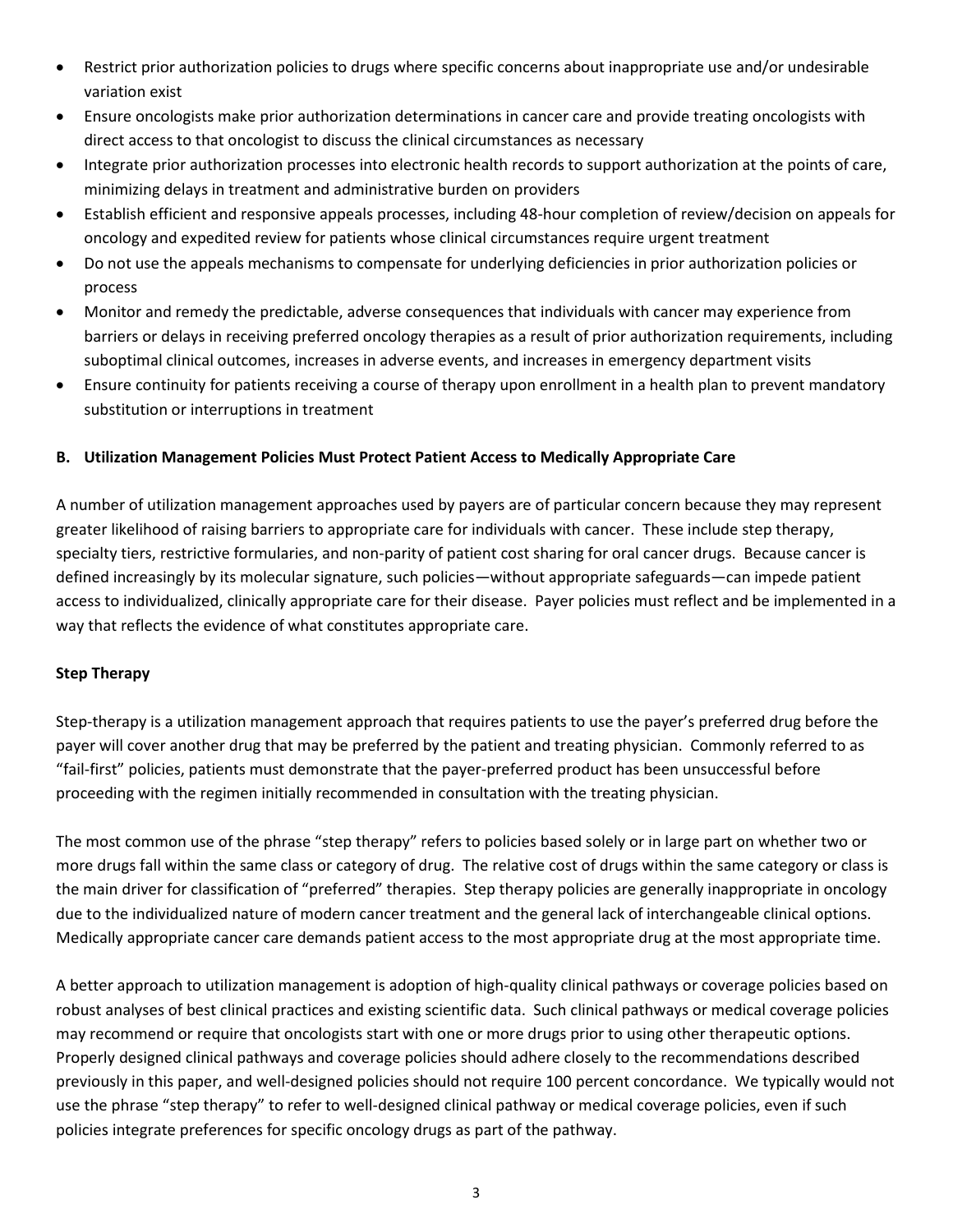- Restrict prior authorization policies to drugs where specific concerns about inappropriate use and/or undesirable variation exist
- Ensure oncologists make prior authorization determinations in cancer care and provide treating oncologists with direct access to that oncologist to discuss the clinical circumstances as necessary
- Integrate prior authorization processes into electronic health records to support authorization at the points of care, minimizing delays in treatment and administrative burden on providers
- Establish efficient and responsive appeals processes, including 48-hour completion of review/decision on appeals for oncology and expedited review for patients whose clinical circumstances require urgent treatment
- Do not use the appeals mechanisms to compensate for underlying deficiencies in prior authorization policies or process
- Monitor and remedy the predictable, adverse consequences that individuals with cancer may experience from barriers or delays in receiving preferred oncology therapies as a result of prior authorization requirements, including suboptimal clinical outcomes, increases in adverse events, and increases in emergency department visits
- Ensure continuity for patients receiving a course of therapy upon enrollment in a health plan to prevent mandatory substitution or interruptions in treatment

## **B. Utilization Management Policies Must Protect Patient Access to Medically Appropriate Care**

A number of utilization management approaches used by payers are of particular concern because they may represent greater likelihood of raising barriers to appropriate care for individuals with cancer. These include step therapy, specialty tiers, restrictive formularies, and non-parity of patient cost sharing for oral cancer drugs. Because cancer is defined increasingly by its molecular signature, such policies—without appropriate safeguards—can impede patient access to individualized, clinically appropriate care for their disease. Payer policies must reflect and be implemented in a way that reflects the evidence of what constitutes appropriate care.

#### **Step Therapy**

Step-therapy is a utilization management approach that requires patients to use the payer's preferred drug before the payer will cover another drug that may be preferred by the patient and treating physician. Commonly referred to as "fail-first" policies, patients must demonstrate that the payer-preferred product has been unsuccessful before proceeding with the regimen initially recommended in consultation with the treating physician.

The most common use of the phrase "step therapy" refers to policies based solely or in large part on whether two or more drugs fall within the same class or category of drug. The relative cost of drugs within the same category or class is the main driver for classification of "preferred" therapies. Step therapy policies are generally inappropriate in oncology due to the individualized nature of modern cancer treatment and the general lack of interchangeable clinical options. Medically appropriate cancer care demands patient access to the most appropriate drug at the most appropriate time.

A better approach to utilization management is adoption of high-quality clinical pathways or coverage policies based on robust analyses of best clinical practices and existing scientific data. Such clinical pathways or medical coverage policies may recommend or require that oncologists start with one or more drugs prior to using other therapeutic options. Properly designed clinical pathways and coverage policies should adhere closely to the recommendations described previously in this paper, and well-designed policies should not require 100 percent concordance. We typically would not use the phrase "step therapy" to refer to well-designed clinical pathway or medical coverage policies, even if such policies integrate preferences for specific oncology drugs as part of the pathway.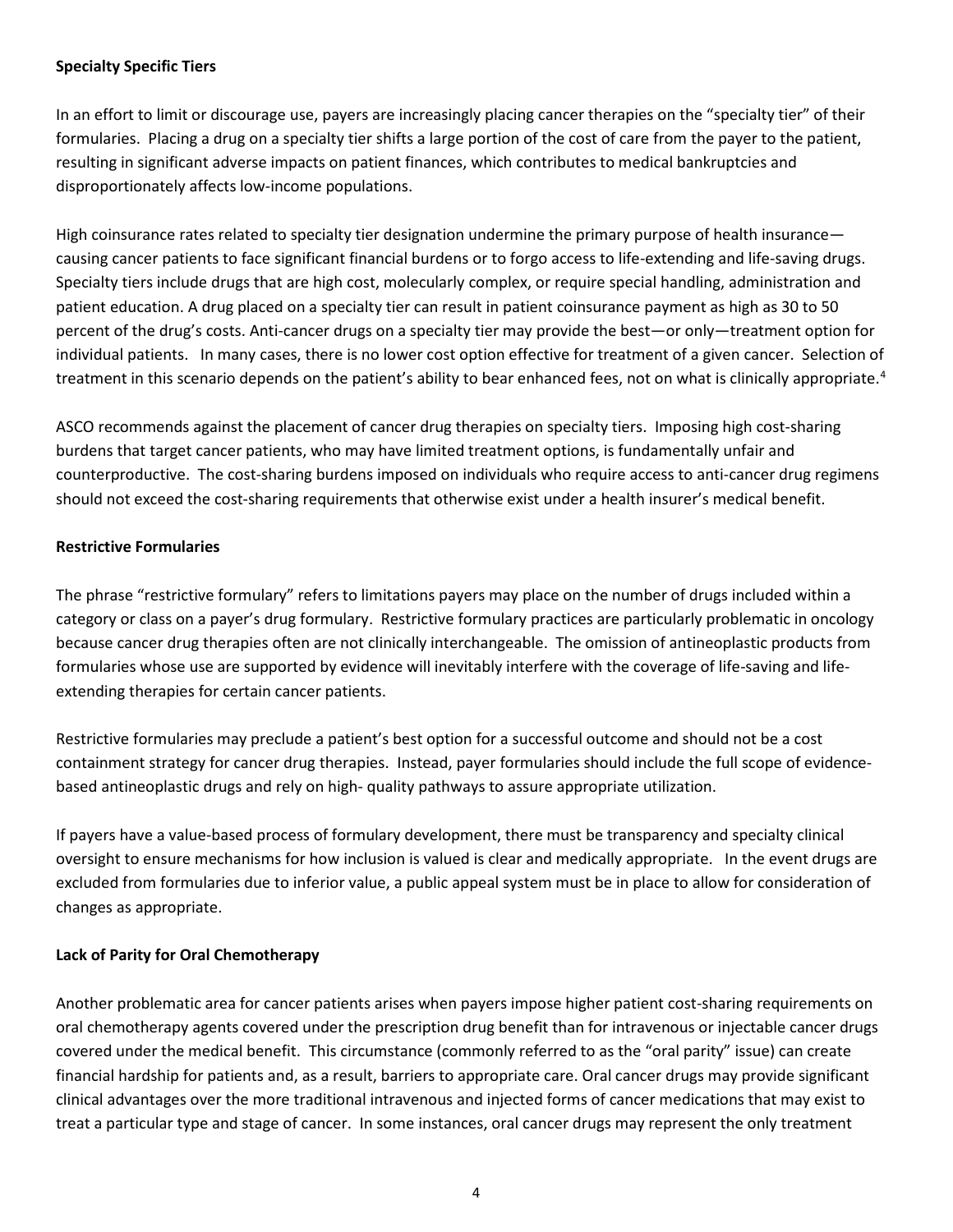## **Specialty Specific Tiers**

In an effort to limit or discourage use, payers are increasingly placing cancer therapies on the "specialty tier" of their formularies. Placing a drug on a specialty tier shifts a large portion of the cost of care from the payer to the patient, resulting in significant adverse impacts on patient finances, which contributes to medical bankruptcies and disproportionately affects low-income populations.

High coinsurance rates related to specialty tier designation undermine the primary purpose of health insurance causing cancer patients to face significant financial burdens or to forgo access to life-extending and life-saving drugs. Specialty tiers include drugs that are high cost, molecularly complex, or require special handling, administration and patient education. A drug placed on a specialty tier can result in patient coinsurance payment as high as 30 to 50 percent of the drug's costs. Anti-cancer drugs on a specialty tier may provide the best—or only—treatment option for individual patients. In many cases, there is no lower cost option effective for treatment of a given cancer. Selection of treatment in this scenario depends on the patient's ability to bear enhanced fees, not on what is clinically appropriate.<sup>[4](#page-7-3)</sup>

ASCO recommends against the placement of cancer drug therapies on specialty tiers. Imposing high cost-sharing burdens that target cancer patients, who may have limited treatment options, is fundamentally unfair and counterproductive. The cost-sharing burdens imposed on individuals who require access to anti-cancer drug regimens should not exceed the cost-sharing requirements that otherwise exist under a health insurer's medical benefit.

## **Restrictive Formularies**

The phrase "restrictive formulary" refers to limitations payers may place on the number of drugs included within a category or class on a payer's drug formulary. Restrictive formulary practices are particularly problematic in oncology because cancer drug therapies often are not clinically interchangeable. The omission of antineoplastic products from formularies whose use are supported by evidence will inevitably interfere with the coverage of life-saving and lifeextending therapies for certain cancer patients.

Restrictive formularies may preclude a patient's best option for a successful outcome and should not be a cost containment strategy for cancer drug therapies. Instead, payer formularies should include the full scope of evidencebased antineoplastic drugs and rely on high- quality pathways to assure appropriate utilization.

If payers have a value-based process of formulary development, there must be transparency and specialty clinical oversight to ensure mechanisms for how inclusion is valued is clear and medically appropriate. In the event drugs are excluded from formularies due to inferior value, a public appeal system must be in place to allow for consideration of changes as appropriate.

#### **Lack of Parity for Oral Chemotherapy**

Another problematic area for cancer patients arises when payers impose higher patient cost-sharing requirements on oral chemotherapy agents covered under the prescription drug benefit than for intravenous or injectable cancer drugs covered under the medical benefit. This circumstance (commonly referred to as the "oral parity" issue) can create financial hardship for patients and, as a result, barriers to appropriate care. Oral cancer drugs may provide significant clinical advantages over the more traditional intravenous and injected forms of cancer medications that may exist to treat a particular type and stage of cancer. In some instances, oral cancer drugs may represent the only treatment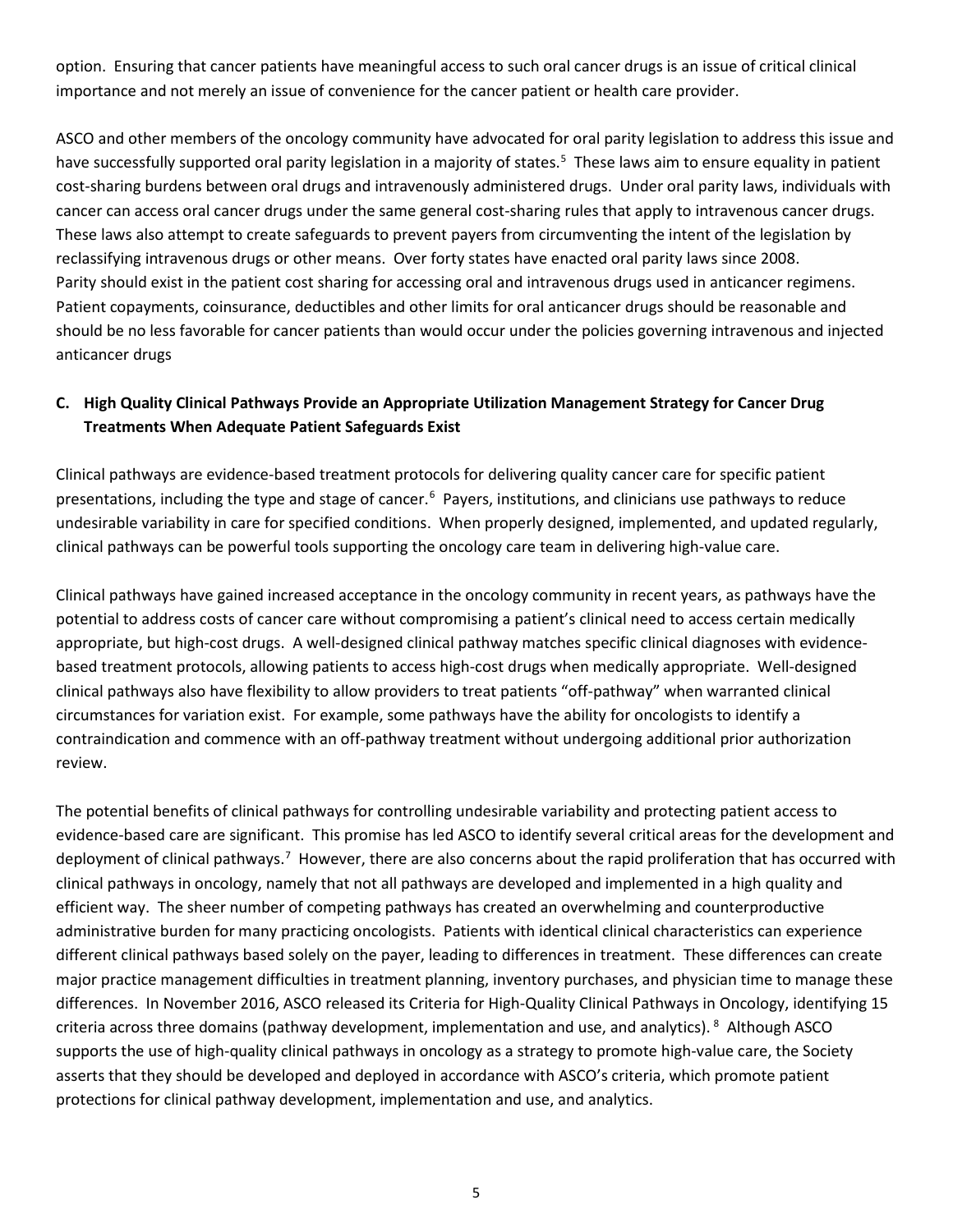option. Ensuring that cancer patients have meaningful access to such oral cancer drugs is an issue of critical clinical importance and not merely an issue of convenience for the cancer patient or health care provider.

ASCO and other members of the oncology community have advocated for oral parity legislation to address this issue and have successfully supported oral parity legislation in a majority of states.<sup>5</sup> These laws aim to ensure equality in patient cost-sharing burdens between oral drugs and intravenously administered drugs. Under oral parity laws, individuals with cancer can access oral cancer drugs under the same general cost-sharing rules that apply to intravenous cancer drugs. These laws also attempt to create safeguards to prevent payers from circumventing the intent of the legislation by reclassifying intravenous drugs or other means. Over forty states have enacted oral parity laws since 2008. Parity should exist in the patient cost sharing for accessing oral and intravenous drugs used in anticancer regimens. Patient copayments, coinsurance, deductibles and other limits for oral anticancer drugs should be reasonable and should be no less favorable for cancer patients than would occur under the policies governing intravenous and injected anticancer drugs

## **C. High Quality Clinical Pathways Provide an Appropriate Utilization Management Strategy for Cancer Drug Treatments When Adequate Patient Safeguards Exist**

Clinical pathways are evidence-based treatment protocols for delivering quality cancer care for specific patient presentations, including the type and stage of cancer.<sup>[6](#page-7-5)</sup> Payers, institutions, and clinicians use pathways to reduce undesirable variability in care for specified conditions. When properly designed, implemented, and updated regularly, clinical pathways can be powerful tools supporting the oncology care team in delivering high-value care.

Clinical pathways have gained increased acceptance in the oncology community in recent years, as pathways have the potential to address costs of cancer care without compromising a patient's clinical need to access certain medically appropriate, but high-cost drugs. A well-designed clinical pathway matches specific clinical diagnoses with evidencebased treatment protocols, allowing patients to access high-cost drugs when medically appropriate. Well-designed clinical pathways also have flexibility to allow providers to treat patients "off-pathway" when warranted clinical circumstances for variation exist. For example, some pathways have the ability for oncologists to identify a contraindication and commence with an off-pathway treatment without undergoing additional prior authorization review.

The potential benefits of clinical pathways for controlling undesirable variability and protecting patient access to evidence-based care are significant. This promise has led ASCO to identify several critical areas for the development and deployment of clinical pathways.<sup>[7](#page-7-6)</sup> However, there are also concerns about the rapid proliferation that has occurred with clinical pathways in oncology, namely that not all pathways are developed and implemented in a high quality and efficient way. The sheer number of competing pathways has created an overwhelming and counterproductive administrative burden for many practicing oncologists. Patients with identical clinical characteristics can experience different clinical pathways based solely on the payer, leading to differences in treatment. These differences can create major practice management difficulties in treatment planning, inventory purchases, and physician time to manage these differences. In November 2016, ASCO released its Criteria for High-Quality Clinical Pathways in Oncology, identifying 15 criteria across three domains (pathway development, implementation and use, and analytics). <sup>[8](#page-7-7)</sup> Although ASCO supports the use of high-quality clinical pathways in oncology as a strategy to promote high-value care, the Society asserts that they should be developed and deployed in accordance with ASCO's criteria, which promote patient protections for clinical pathway development, implementation and use, and analytics.